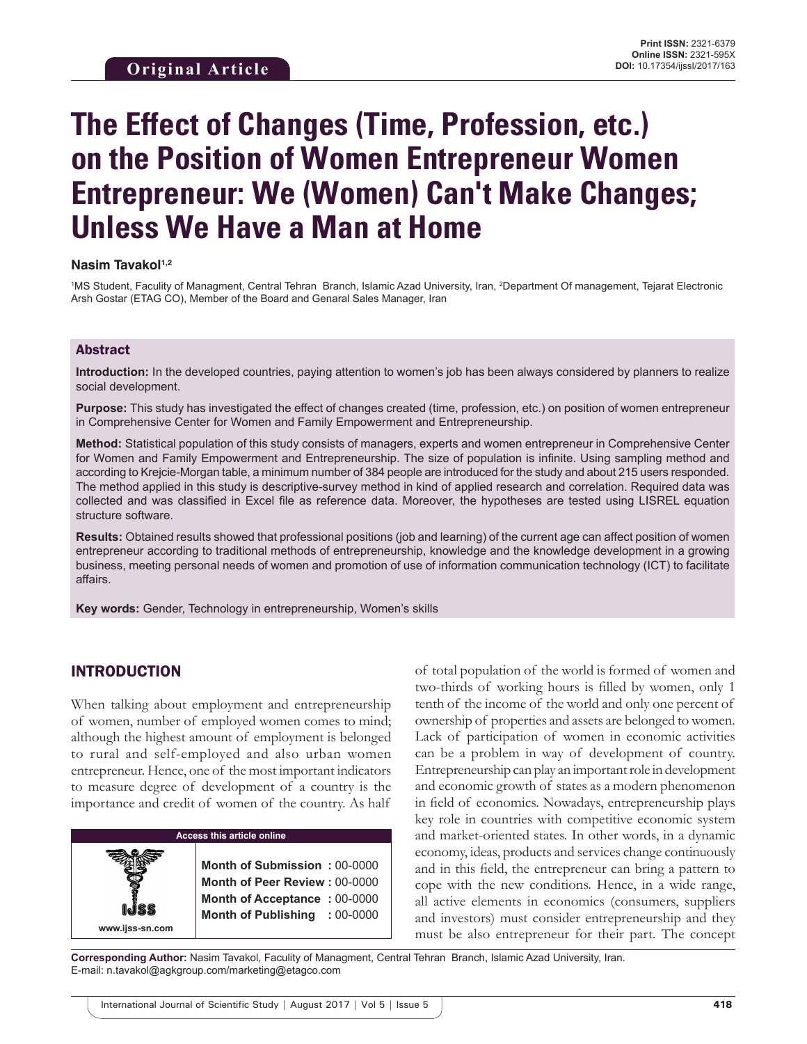# **The Effect of Changes (Time, Profession, etc.) on the Position of Women Entrepreneur Women Entrepreneur: We (Women) Can't Make Changes; Unless We Have a Man at Home**

#### **Nasim Tavakol1,2**

1 MS Student, Faculity of Managment, Central Tehran Branch, Islamic Azad University, Iran, 2 Department Of management, Tejarat Electronic Arsh Gostar (ETAG CO), Member of the Board and Genaral Sales Manager, Iran

### Abstract

**Introduction:** In the developed countries, paying attention to women's job has been always considered by planners to realize social development.

**Purpose:** This study has investigated the effect of changes created (time, profession, etc.) on position of women entrepreneur in Comprehensive Center for Women and Family Empowerment and Entrepreneurship.

**Method:** Statistical population of this study consists of managers, experts and women entrepreneur in Comprehensive Center for Women and Family Empowerment and Entrepreneurship. The size of population is infinite. Using sampling method and according to Krejcie-Morgan table, a minimum number of 384 people are introduced for the study and about 215 users responded. The method applied in this study is descriptive-survey method in kind of applied research and correlation. Required data was collected and was classified in Excel file as reference data. Moreover, the hypotheses are tested using LISREL equation structure software.

**Results:** Obtained results showed that professional positions (job and learning) of the current age can affect position of women entrepreneur according to traditional methods of entrepreneurship, knowledge and the knowledge development in a growing business, meeting personal needs of women and promotion of use of information communication technology (ICT) to facilitate affairs.

**Key words:** Gender, Technology in entrepreneurship, Women's skills

# INTRODUCTION

**www.ijss-sn.com**

When talking about employment and entrepreneurship of women, number of employed women comes to mind; although the highest amount of employment is belonged to rural and self-employed and also urban women entrepreneur. Hence, one of the most important indicators to measure degree of development of a country is the importance and credit of women of the country. As half

**Access this article online**

**Month of Submission :** 00-0000 **Month of Peer Review :** 00-0000 **Month of Acceptance :** 00-0000 **Month of Publishing :** 00-0000 of total population of the world is formed of women and two-thirds of working hours is filled by women, only 1 tenth of the income of the world and only one percent of ownership of properties and assets are belonged to women. Lack of participation of women in economic activities can be a problem in way of development of country. Entrepreneurship can play an important role in development and economic growth of states as a modern phenomenon in field of economics. Nowadays, entrepreneurship plays key role in countries with competitive economic system and market-oriented states. In other words, in a dynamic economy, ideas, products and services change continuously and in this field, the entrepreneur can bring a pattern to cope with the new conditions. Hence, in a wide range, all active elements in economics (consumers, suppliers and investors) must consider entrepreneurship and they must be also entrepreneur for their part. The concept

**Corresponding Author:** Nasim Tavakol, Faculity of Managment, Central Tehran Branch, Islamic Azad University, Iran. E-mail: n.tavakol@agkgroup.com/marketing@etagco.com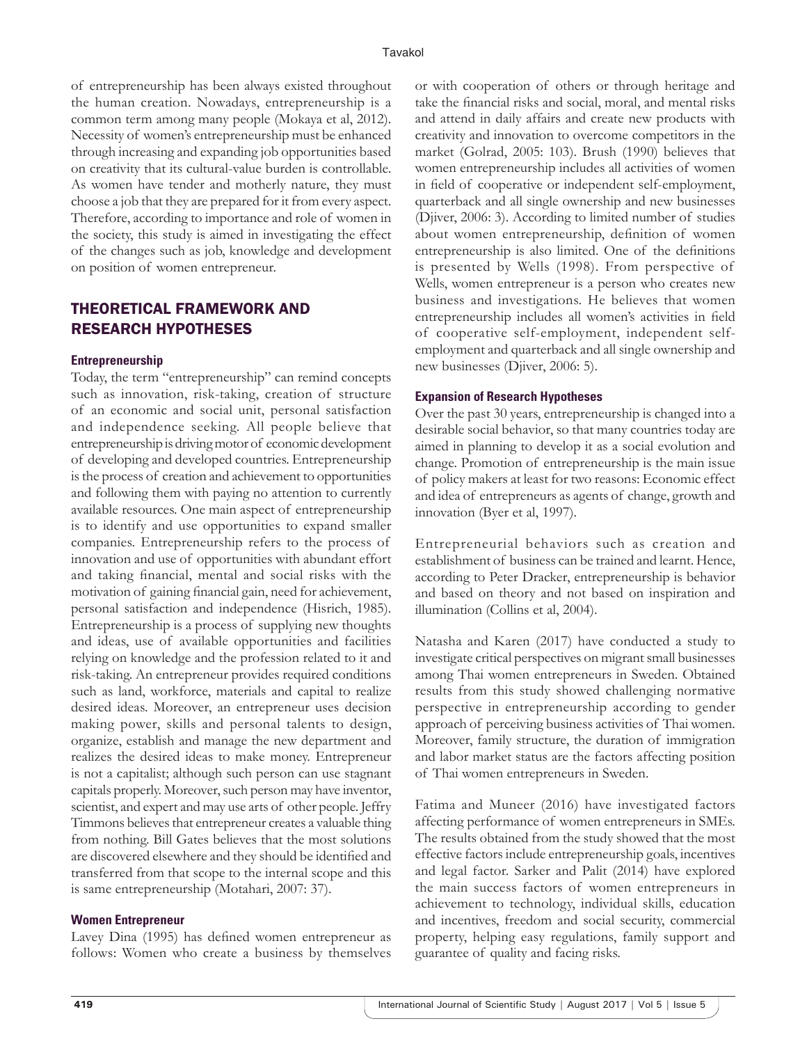of entrepreneurship has been always existed throughout the human creation. Nowadays, entrepreneurship is a common term among many people (Mokaya et al, 2012). Necessity of women's entrepreneurship must be enhanced through increasing and expanding job opportunities based on creativity that its cultural-value burden is controllable. As women have tender and motherly nature, they must choose a job that they are prepared for it from every aspect. Therefore, according to importance and role of women in the society, this study is aimed in investigating the effect of the changes such as job, knowledge and development on position of women entrepreneur.

# THEORETICAL FRAMEWORK AND RESEARCH HYPOTHESES

#### **Entrepreneurship**

Today, the term "entrepreneurship" can remind concepts such as innovation, risk-taking, creation of structure of an economic and social unit, personal satisfaction and independence seeking. All people believe that entrepreneurship is driving motor of economic development of developing and developed countries. Entrepreneurship is the process of creation and achievement to opportunities and following them with paying no attention to currently available resources. One main aspect of entrepreneurship is to identify and use opportunities to expand smaller companies. Entrepreneurship refers to the process of innovation and use of opportunities with abundant effort and taking financial, mental and social risks with the motivation of gaining financial gain, need for achievement, personal satisfaction and independence (Hisrich, 1985). Entrepreneurship is a process of supplying new thoughts and ideas, use of available opportunities and facilities relying on knowledge and the profession related to it and risk-taking. An entrepreneur provides required conditions such as land, workforce, materials and capital to realize desired ideas. Moreover, an entrepreneur uses decision making power, skills and personal talents to design, organize, establish and manage the new department and realizes the desired ideas to make money. Entrepreneur is not a capitalist; although such person can use stagnant capitals properly. Moreover, such person may have inventor, scientist, and expert and may use arts of other people. Jeffry Timmons believes that entrepreneur creates a valuable thing from nothing. Bill Gates believes that the most solutions are discovered elsewhere and they should be identified and transferred from that scope to the internal scope and this is same entrepreneurship (Motahari, 2007: 37).

#### **Women Entrepreneur**

Lavey Dina (1995) has defined women entrepreneur as follows: Women who create a business by themselves or with cooperation of others or through heritage and take the financial risks and social, moral, and mental risks and attend in daily affairs and create new products with creativity and innovation to overcome competitors in the market (Golrad, 2005: 103). Brush (1990) believes that women entrepreneurship includes all activities of women in field of cooperative or independent self-employment, quarterback and all single ownership and new businesses (Djiver, 2006: 3). According to limited number of studies about women entrepreneurship, definition of women entrepreneurship is also limited. One of the definitions is presented by Wells (1998). From perspective of Wells, women entrepreneur is a person who creates new business and investigations. He believes that women entrepreneurship includes all women's activities in field of cooperative self-employment, independent selfemployment and quarterback and all single ownership and new businesses (Djiver, 2006: 5).

#### **Expansion of Research Hypotheses**

Over the past 30 years, entrepreneurship is changed into a desirable social behavior, so that many countries today are aimed in planning to develop it as a social evolution and change. Promotion of entrepreneurship is the main issue of policy makers at least for two reasons: Economic effect and idea of entrepreneurs as agents of change, growth and innovation (Byer et al, 1997).

Entrepreneurial behaviors such as creation and establishment of business can be trained and learnt. Hence, according to Peter Dracker, entrepreneurship is behavior and based on theory and not based on inspiration and illumination (Collins et al, 2004).

Natasha and Karen (2017) have conducted a study to investigate critical perspectives on migrant small businesses among Thai women entrepreneurs in Sweden. Obtained results from this study showed challenging normative perspective in entrepreneurship according to gender approach of perceiving business activities of Thai women. Moreover, family structure, the duration of immigration and labor market status are the factors affecting position of Thai women entrepreneurs in Sweden.

Fatima and Muneer (2016) have investigated factors affecting performance of women entrepreneurs in SMEs. The results obtained from the study showed that the most effective factors include entrepreneurship goals, incentives and legal factor. Sarker and Palit (2014) have explored the main success factors of women entrepreneurs in achievement to technology, individual skills, education and incentives, freedom and social security, commercial property, helping easy regulations, family support and guarantee of quality and facing risks.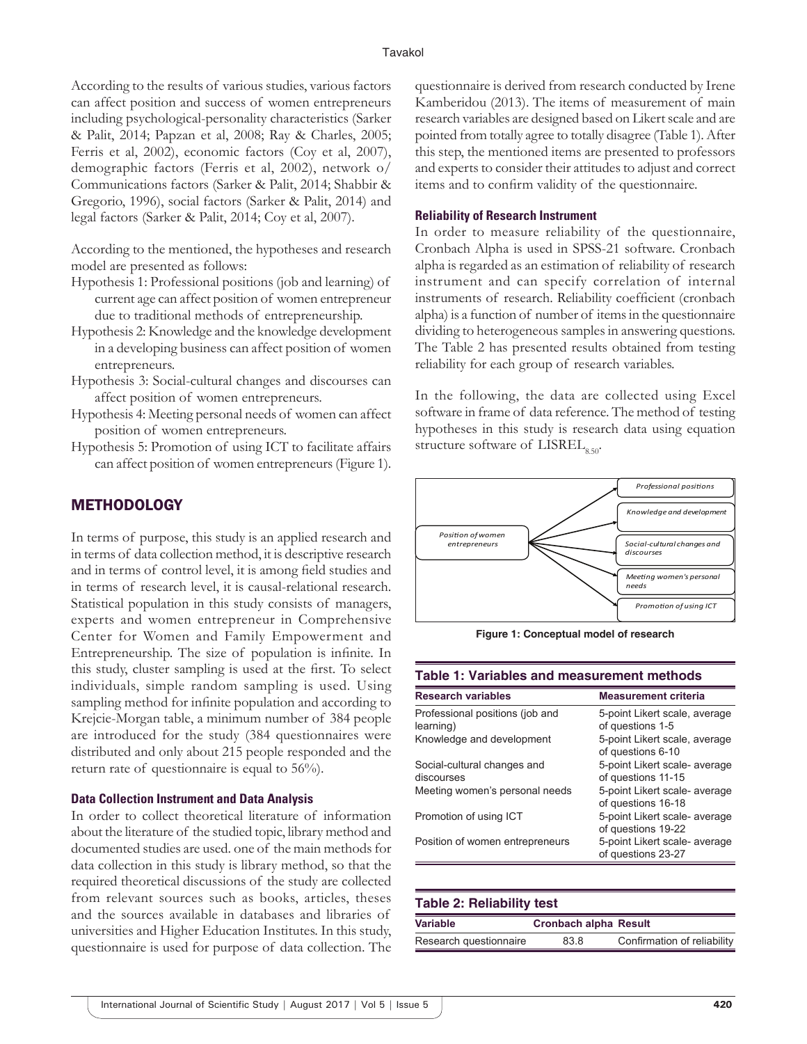According to the results of various studies, various factors can affect position and success of women entrepreneurs including psychological-personality characteristics (Sarker & Palit, 2014; Papzan et al, 2008; Ray & Charles, 2005; Ferris et al, 2002), economic factors (Coy et al, 2007), demographic factors (Ferris et al, 2002), network o/ Communications factors (Sarker & Palit, 2014; Shabbir & Gregorio, 1996), social factors (Sarker & Palit, 2014) and legal factors (Sarker & Palit, 2014; Coy et al, 2007).

According to the mentioned, the hypotheses and research model are presented as follows:

- Hypothesis 1: Professional positions (job and learning) of current age can affect position of women entrepreneur due to traditional methods of entrepreneurship.
- Hypothesis 2: Knowledge and the knowledge development in a developing business can affect position of women entrepreneurs.
- Hypothesis 3: Social-cultural changes and discourses can affect position of women entrepreneurs.
- Hypothesis 4: Meeting personal needs of women can affect position of women entrepreneurs.
- Hypothesis 5: Promotion of using ICT to facilitate affairs can affect position of women entrepreneurs (Figure 1).

# METHODOLOGY

In terms of purpose, this study is an applied research and in terms of data collection method, it is descriptive research and in terms of control level, it is among field studies and in terms of research level, it is causal-relational research. Statistical population in this study consists of managers, experts and women entrepreneur in Comprehensive Center for Women and Family Empowerment and Entrepreneurship. The size of population is infinite. In this study, cluster sampling is used at the first. To select individuals, simple random sampling is used. Using sampling method for infinite population and according to Krejcie-Morgan table, a minimum number of 384 people are introduced for the study (384 questionnaires were distributed and only about 215 people responded and the return rate of questionnaire is equal to 56%).

#### **Data Collection Instrument and Data Analysis**

In order to collect theoretical literature of information about the literature of the studied topic, library method and documented studies are used. one of the main methods for data collection in this study is library method, so that the required theoretical discussions of the study are collected from relevant sources such as books, articles, theses and the sources available in databases and libraries of universities and Higher Education Institutes. In this study, questionnaire is used for purpose of data collection. The questionnaire is derived from research conducted by Irene Kamberidou (2013). The items of measurement of main research variables are designed based on Likert scale and are pointed from totally agree to totally disagree (Table 1). After this step, the mentioned items are presented to professors and experts to consider their attitudes to adjust and correct items and to confirm validity of the questionnaire.

#### **Reliability of Research Instrument**

In order to measure reliability of the questionnaire, Cronbach Alpha is used in SPSS-21 software. Cronbach alpha is regarded as an estimation of reliability of research instrument and can specify correlation of internal instruments of research. Reliability coefficient (cronbach alpha) is a function of number of items in the questionnaire dividing to heterogeneous samples in answering questions. The Table 2 has presented results obtained from testing reliability for each group of research variables.

In the following, the data are collected using Excel software in frame of data reference. The method of testing hypotheses in this study is research data using equation structure software of  $LISTELL_{0.50}$ .



**Figure 1: Conceptual model of research**

#### **Table 1: Variables and measurement methods**

| <b>Research variables</b>                    | <b>Measurement criteria</b>                         |
|----------------------------------------------|-----------------------------------------------------|
| Professional positions (job and<br>learning) | 5-point Likert scale, average<br>of questions 1-5   |
| Knowledge and development                    | 5-point Likert scale, average<br>of questions 6-10  |
| Social-cultural changes and<br>discourses    | 5-point Likert scale- average<br>of questions 11-15 |
| Meeting women's personal needs               | 5-point Likert scale- average<br>of questions 16-18 |
| Promotion of using ICT                       | 5-point Likert scale- average<br>of questions 19-22 |
| Position of women entrepreneurs              | 5-point Likert scale- average<br>of questions 23-27 |

#### **Table 2: Reliability test**

| Variable               | <b>Cronbach alpha Result</b> |                             |
|------------------------|------------------------------|-----------------------------|
| Research questionnaire | 83.8                         | Confirmation of reliability |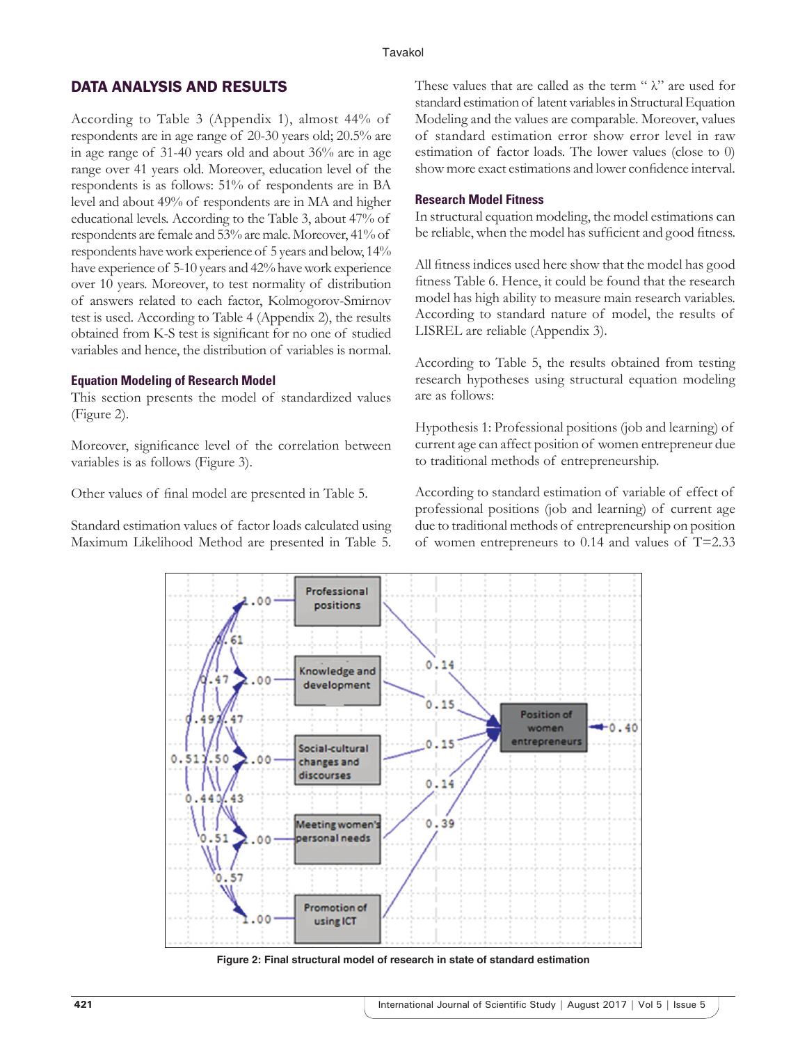# DATA ANALYSIS AND RESULTS

According to Table 3 (Appendix 1), almost 44% of respondents are in age range of 20-30 years old; 20.5% are in age range of 31-40 years old and about 36% are in age range over 41 years old. Moreover, education level of the respondents is as follows: 51% of respondents are in BA level and about 49% of respondents are in MA and higher educational levels. According to the Table 3, about 47% of respondents are female and 53% are male. Moreover, 41% of respondents have work experience of 5 years and below, 14% have experience of 5-10 years and 42% have work experience over 10 years. Moreover, to test normality of distribution of answers related to each factor, Kolmogorov-Smirnov test is used. According to Table 4 (Appendix 2), the results obtained from K-S test is significant for no one of studied variables and hence, the distribution of variables is normal.

#### **Equation Modeling of Research Model**

This section presents the model of standardized values (Figure 2).

Moreover, significance level of the correlation between variables is as follows (Figure 3).

Other values of final model are presented in Table 5.

Standard estimation values of factor loads calculated using Maximum Likelihood Method are presented in Table 5.

These values that are called as the term " $\lambda$ " are used for standard estimation of latent variables in Structural Equation Modeling and the values are comparable. Moreover, values of standard estimation error show error level in raw estimation of factor loads. The lower values (close to 0) show more exact estimations and lower confidence interval.

#### **Research Model Fitness**

In structural equation modeling, the model estimations can be reliable, when the model has sufficient and good fitness.

All fitness indices used here show that the model has good fitness Table 6. Hence, it could be found that the research model has high ability to measure main research variables. According to standard nature of model, the results of LISREL are reliable (Appendix 3).

According to Table 5, the results obtained from testing research hypotheses using structural equation modeling are as follows:

Hypothesis 1: Professional positions (job and learning) of current age can affect position of women entrepreneur due to traditional methods of entrepreneurship.

According to standard estimation of variable of effect of professional positions (job and learning) of current age due to traditional methods of entrepreneurship on position of women entrepreneurs to 0.14 and values of T=2.33



**Figure 2: Final structural model of research in state of standard estimation**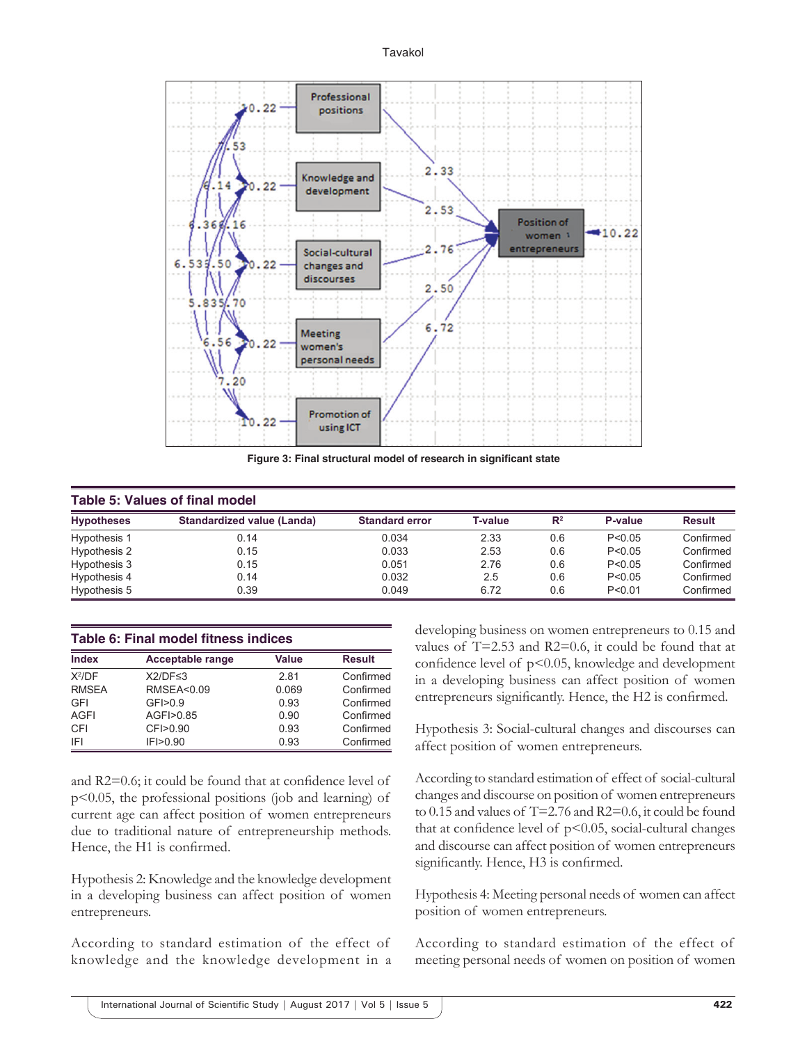

**Figure 3: Final structural model of research in significant state** 

| <b>Table 5: Values of final model</b> |                            |                       |                |                |          |               |
|---------------------------------------|----------------------------|-----------------------|----------------|----------------|----------|---------------|
| <b>Hypotheses</b>                     | Standardized value (Landa) | <b>Standard error</b> | <b>T-value</b> | $\mathbb{R}^2$ | P-value  | <b>Result</b> |
| Hypothesis 1                          | 0.14                       | 0.034                 | 2.33           | 0.6            | P < 0.05 | Confirmed     |
| Hypothesis 2                          | 0.15                       | 0.033                 | 2.53           | 0.6            | P < 0.05 | Confirmed     |
| Hypothesis 3                          | 0.15                       | 0.051                 | 2.76           | 0.6            | P < 0.05 | Confirmed     |
| Hypothesis 4                          | 0.14                       | 0.032                 | 2.5            | 0.6            | P < 0.05 | Confirmed     |
| Hypothesis 5                          | 0.39                       | 0.049                 | 6.72           | 0.6            | P < 0.01 | Confirmed     |

| Table 6: Final model fitness indices |                         |       |               |
|--------------------------------------|-------------------------|-------|---------------|
| <b>Index</b>                         | <b>Acceptable range</b> | Value | <b>Result</b> |
| $X^2/DF$                             | $X2/DF \leq 3$          | 281   | Confirmed     |
| <b>RMSEA</b>                         | <b>RMSEA&lt;0.09</b>    | 0.069 | Confirmed     |
| GFI                                  | GF > 0.9                | 0.93  | Confirmed     |
| AGFI                                 | AGFI>0.85               | 0.90  | Confirmed     |
| CFI                                  | CFI>0.90                | 0.93  | Confirmed     |
| IFI                                  | IF > 0.90               | 0.93  | Confirmed     |

and R2=0.6; it could be found that at confidence level of p<0.05, the professional positions (job and learning) of current age can affect position of women entrepreneurs due to traditional nature of entrepreneurship methods. Hence, the H1 is confirmed.

Hypothesis 2: Knowledge and the knowledge development in a developing business can affect position of women entrepreneurs.

According to standard estimation of the effect of knowledge and the knowledge development in a developing business on women entrepreneurs to 0.15 and values of T=2.53 and R2=0.6, it could be found that at confidence level of  $p<0.05$ , knowledge and development in a developing business can affect position of women entrepreneurs significantly. Hence, the H2 is confirmed.

Hypothesis 3: Social-cultural changes and discourses can affect position of women entrepreneurs.

According to standard estimation of effect of social-cultural changes and discourse on position of women entrepreneurs to 0.15 and values of T=2.76 and R2=0.6, it could be found that at confidence level of  $p<0.05$ , social-cultural changes and discourse can affect position of women entrepreneurs significantly. Hence, H3 is confirmed.

Hypothesis 4: Meeting personal needs of women can affect position of women entrepreneurs.

According to standard estimation of the effect of meeting personal needs of women on position of women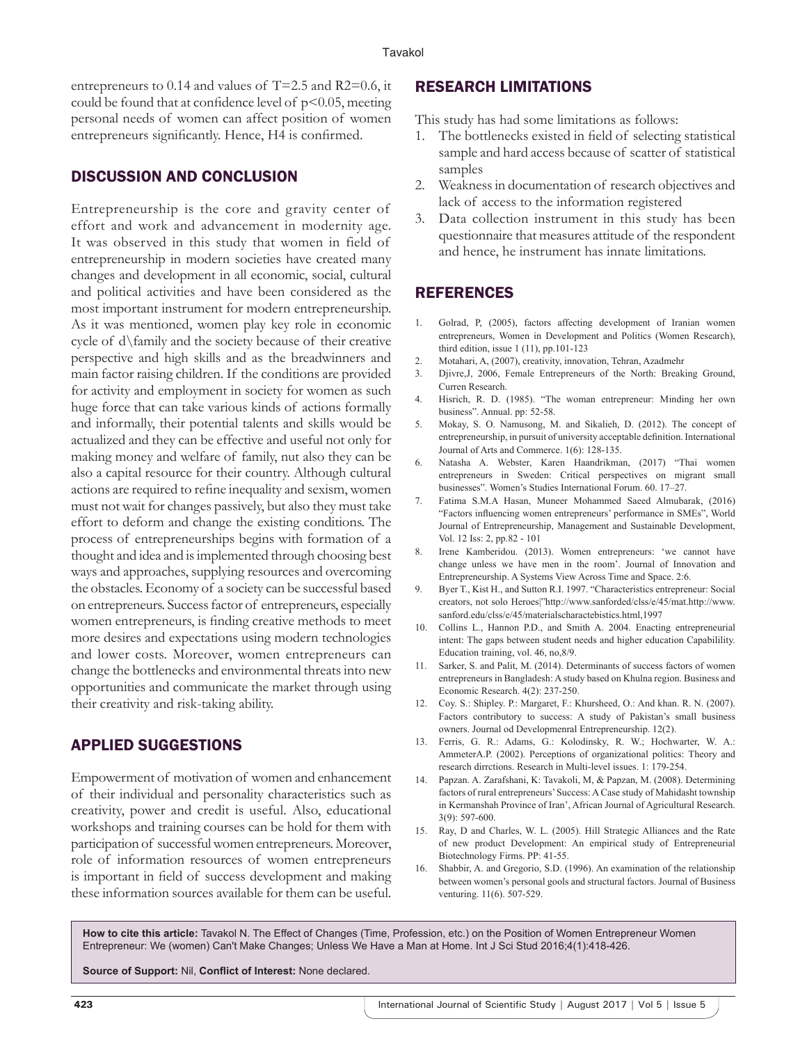entrepreneurs to 0.14 and values of T=2.5 and R2=0.6, it could be found that at confidence level of  $p<0.05$ , meeting personal needs of women can affect position of women entrepreneurs significantly. Hence, H4 is confirmed.

# DISCUSSION AND CONCLUSION

Entrepreneurship is the core and gravity center of effort and work and advancement in modernity age. It was observed in this study that women in field of entrepreneurship in modern societies have created many changes and development in all economic, social, cultural and political activities and have been considered as the most important instrument for modern entrepreneurship. As it was mentioned, women play key role in economic cycle of d\family and the society because of their creative perspective and high skills and as the breadwinners and main factor raising children. If the conditions are provided for activity and employment in society for women as such huge force that can take various kinds of actions formally and informally, their potential talents and skills would be actualized and they can be effective and useful not only for making money and welfare of family, nut also they can be also a capital resource for their country. Although cultural actions are required to refine inequality and sexism, women must not wait for changes passively, but also they must take effort to deform and change the existing conditions. The process of entrepreneurships begins with formation of a thought and idea and is implemented through choosing best ways and approaches, supplying resources and overcoming the obstacles. Economy of a society can be successful based on entrepreneurs. Success factor of entrepreneurs, especially women entrepreneurs, is finding creative methods to meet more desires and expectations using modern technologies and lower costs. Moreover, women entrepreneurs can change the bottlenecks and environmental threats into new opportunities and communicate the market through using their creativity and risk-taking ability.

# APPLIED SUGGESTIONS

Empowerment of motivation of women and enhancement of their individual and personality characteristics such as creativity, power and credit is useful. Also, educational workshops and training courses can be hold for them with participation of successful women entrepreneurs. Moreover, role of information resources of women entrepreneurs is important in field of success development and making these information sources available for them can be useful.

# RESEARCH LIMITATIONS

This study has had some limitations as follows:

- 1. The bottlenecks existed in field of selecting statistical sample and hard access because of scatter of statistical samples
- 2. Weakness in documentation of research objectives and lack of access to the information registered
- 3. Data collection instrument in this study has been questionnaire that measures attitude of the respondent and hence, he instrument has innate limitations.

# REFERENCES

- 1. Golrad, P, (2005), factors affecting development of Iranian women entrepreneurs, Women in Development and Politics (Women Research), third edition, issue 1 (11), pp.101-123
- 2. Motahari, A, (2007), creativity, innovation, Tehran, Azadmehr
- 3. Djivre,J, 2006, Female Entrepreneurs of the North: Breaking Ground, Curren Research.
- 4. Hisrich, R. D. (1985). "The woman entrepreneur: Minding her own business". Annual. pp: 52-58.
- 5. Mokay, S. O. Namusong, M. and Sikalieh, D. (2012). The concept of entrepreneurship, in pursuit of university acceptable definition. International Journal of Arts and Commerce. 1(6): 128-135.
- 6. Natasha A. Webster, Karen Haandrikman, (2017) "Thai women entrepreneurs in Sweden: Critical perspectives on migrant small businesses". Women's Studies International Forum. 60. 17–27.
- 7. Fatima S.M.A Hasan, Muneer Mohammed Saeed Almubarak, (2016) "Factors influencing women entrepreneurs' performance in SMEs", World Journal of Entrepreneurship, Management and Sustainable Development, Vol. 12 Iss: 2, pp.82 - 101
- 8. Irene Kamberidou. (2013). Women entrepreneurs: 'we cannot have change unless we have men in the room'. Journal of Innovation and Entrepreneurship. A Systems View Across Time and Space. 2:6.
- 9. Byer T., Kist H., and Sutton R.I. 1997. "Characteristics entrepreneur: Social creators, not solo Heroes|"http://www.sanforded/clss/e/45/mat.http://www. sanford.edu/clss/e/45/materialscharactebistics.html,1997
- 10. Collins L., Hannon P.D., and Smith A. 2004. Enacting entrepreneurial intent: The gaps between student needs and higher education Capabilility. Education training, vol. 46, no,8/9.
- 11. Sarker, S. and Palit, M. (2014). Determinants of success factors of women entrepreneurs in Bangladesh: A study based on Khulna region. Business and Economic Research. 4(2): 237-250.
- 12. Coy. S.: Shipley. P.: Margaret, F.: Khursheed, O.: And khan. R. N. (2007). Factors contributory to success: A study of Pakistan's small business owners. Journal od Developmenral Entrepreneurship. 12(2).
- 13. Ferris, G. R.: Adams, G.: Kolodinsky, R. W.; Hochwarter, W. A.: AmmeterA.P. (2002). Perceptions of organizational politics: Theory and research dirrctions. Research in Multi-level issues. 1: 179-254.
- 14. Papzan. A. Zarafshani, K: Tavakoli, M, & Papzan, M. (2008). Determining factors of rural entrepreneurs' Success: A Case study of Mahidasht township in Kermanshah Province of Iran', African Journal of Agricultural Research. 3(9): 597-600.
- 15. Ray, D and Charles, W. L. (2005). Hill Strategic Alliances and the Rate of new product Development: An empirical study of Entrepreneurial Biotechnology Firms. PP: 41-55.
- 16. Shabbir, A. and Gregorio, S.D. (1996). An examination of the relationship between women's personal gools and structural factors. Journal of Business venturing. 11(6). 507-529.

**How to cite this article:** Tavakol N. The Effect of Changes (Time, Profession, etc.) on the Position of Women Entrepreneur Women Entrepreneur: We (women) Can't Make Changes; Unless We Have a Man at Home. Int J Sci Stud 2016;4(1):418-426.

**Source of Support:** Nil, **Conflict of Interest:** None declared.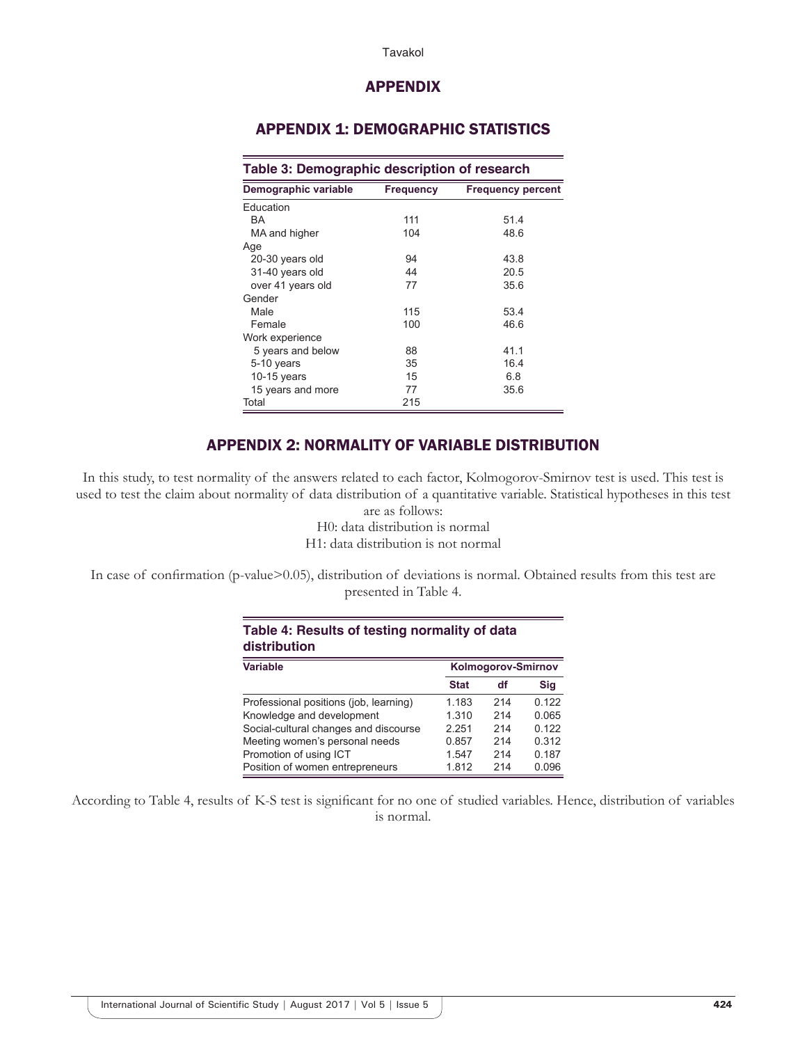#### Tavakol

## APPENDIX

# APPENDIX 1: DEMOGRAPHIC STATISTICS

| Table 3: Demographic description of research |                  |                          |  |
|----------------------------------------------|------------------|--------------------------|--|
| Demographic variable                         | <b>Frequency</b> | <b>Frequency percent</b> |  |
| Education                                    |                  |                          |  |
| BA                                           | 111              | 51.4                     |  |
| MA and higher                                | 104              | 48.6                     |  |
| Age                                          |                  |                          |  |
| 20-30 years old                              | 94               | 43.8                     |  |
| 31-40 years old                              | 44               | 20.5                     |  |
| over 41 years old                            | 77               | 35.6                     |  |
| Gender                                       |                  |                          |  |
| Male                                         | 115              | 53.4                     |  |
| Female                                       | 100              | 46.6                     |  |
| Work experience                              |                  |                          |  |
| 5 years and below                            | 88               | 41.1                     |  |
| 5-10 years                                   | 35               | 16.4                     |  |
| 10-15 years                                  | 15               | 6.8                      |  |
| 15 years and more                            | 77               | 35.6                     |  |
| Total                                        | 215              |                          |  |

# APPENDIX 2: NORMALITY OF VARIABLE DISTRIBUTION

In this study, to test normality of the answers related to each factor, Kolmogorov-Smirnov test is used. This test is used to test the claim about normality of data distribution of a quantitative variable. Statistical hypotheses in this test are as follows:

H0: data distribution is normal H1: data distribution is not normal

In case of confirmation (p-value>0.05), distribution of deviations is normal. Obtained results from this test are presented in Table 4.

**Table 4: Results of testing normality of data** 

| distribution                           |                           |     |       |  |
|----------------------------------------|---------------------------|-----|-------|--|
| <b>Variable</b>                        | <b>Kolmogorov-Smirnov</b> |     |       |  |
|                                        | <b>Stat</b>               | df  | Sig   |  |
| Professional positions (job, learning) | 1.183                     | 214 | 0.122 |  |
| Knowledge and development              | 1.310                     | 214 | 0.065 |  |
| Social-cultural changes and discourse  | 2.251                     | 214 | 0.122 |  |
| Meeting women's personal needs         | 0.857                     | 214 | 0.312 |  |
| Promotion of using ICT                 | 1.547                     | 214 | 0.187 |  |
| Position of women entrepreneurs        | 1.812                     | 214 | 0.096 |  |

According to Table 4, results of K-S test is significant for no one of studied variables. Hence, distribution of variables is normal.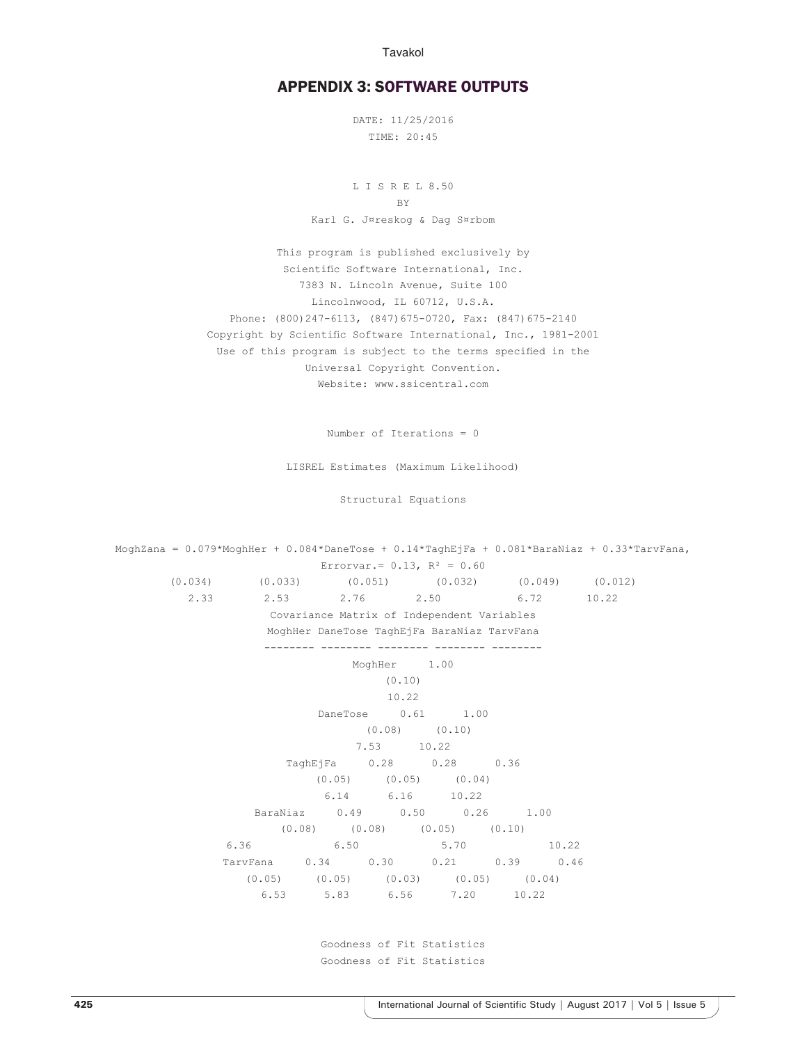Tavakol

## APPENDIX 3: SOFTWARE OUTPUTS

DATE: 11/25/2016 TIME: 20:45

L I S R E L 8.50 **BY** Karl G. J¤reskog & Dag S¤rbom

This program is published exclusively by Scientific Software International, Inc. 7383 N. Lincoln Avenue, Suite 100 Lincolnwood, IL 60712, U.S.A. Phone: (800)247-6113, (847)675-0720, Fax: (847)675-2140 Copyright by Scientific Software International, Inc., 1981-2001 Use of this program is subject to the terms specified in the Universal Copyright Convention. Website: www.ssicentral.com

Number of Iterations = 0

LISREL Estimates (Maximum Likelihood)

Structural Equations

MoghZana = 0.079\*MoghHer + 0.084\*DaneTose + 0.14\*TaghEjFa + 0.081\*BaraNiaz + 0.33\*TarvFana, Errorvar.=  $0.13$ ,  $R^2 = 0.60$ (0.034) (0.033) (0.051) (0.032) (0.049) (0.012) 2.33 2.53 2.76 2.50 6.72 10.22 Covariance Matrix of Independent Variables MoghHer DaneTose TaghEjFa BaraNiaz TarvFana -------- -------- -------- -------- -------- MoghHer 1.00 (0.10) 10.22 DaneTose 0.61 1.00 (0.08) (0.10) 7.53 10.22 TaghEjFa 0.28 0.28 0.36  $(0.05)$   $(0.05)$   $(0.04)$ 6.14 6.16 10.22 BaraNiaz 0.49 0.50 0.26 1.00 (0.08) (0.08) (0.05) (0.10) 6.36 6.50 5.70 10.22 TarvFana 0.34 0.30 0.21 0.39 0.46  $(0.05)$   $(0.05)$   $(0.03)$   $(0.05)$   $(0.04)$ 6.53 5.83 6.56 7.20 10.22

> Goodness of Fit Statistics Goodness of Fit Statistics